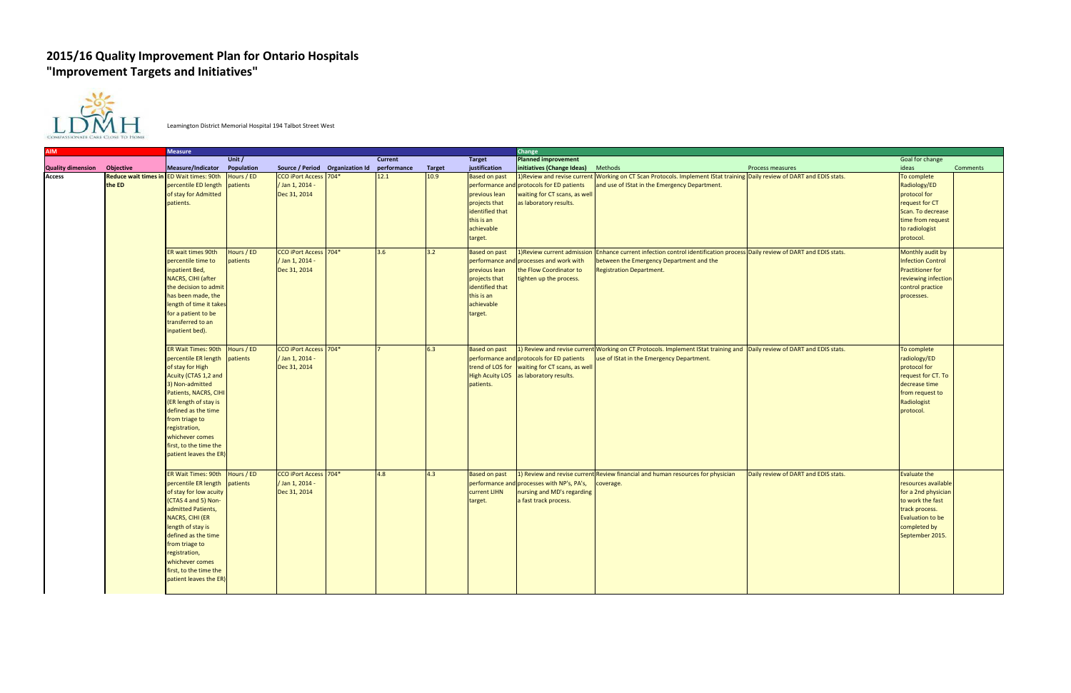## **2015/16 Quality Improvement Plan for Ontario Hospitals "Improvement Targets and Initiatives"**



Leamington District Memorial Hospital 194 Talbot Street West

| <b>AIM</b>               |                                       | <b>Measure</b>                                                                                                                                                                                                                                                                                     |                        |                                                                 |             |               |                                                                                                                                   | Change                                                                                                                                |                                                                                                                                                                              |                                      |                                                                                                                                                                |                 |
|--------------------------|---------------------------------------|----------------------------------------------------------------------------------------------------------------------------------------------------------------------------------------------------------------------------------------------------------------------------------------------------|------------------------|-----------------------------------------------------------------|-------------|---------------|-----------------------------------------------------------------------------------------------------------------------------------|---------------------------------------------------------------------------------------------------------------------------------------|------------------------------------------------------------------------------------------------------------------------------------------------------------------------------|--------------------------------------|----------------------------------------------------------------------------------------------------------------------------------------------------------------|-----------------|
|                          |                                       |                                                                                                                                                                                                                                                                                                    | Unit /                 |                                                                 | Current     |               | Target                                                                                                                            | <b>Planned improvement</b>                                                                                                            |                                                                                                                                                                              |                                      | Goal for change                                                                                                                                                |                 |
| <b>Quality dimension</b> | <b>Objective</b>                      | <b>Measure/Indicator</b>                                                                                                                                                                                                                                                                           | Population             | Source / Period Organization Id                                 | performance | <b>Target</b> | justification                                                                                                                     | initiatives (Change Ideas)                                                                                                            | Methods                                                                                                                                                                      | <b>Process measures</b>              | ideas                                                                                                                                                          | <b>Comments</b> |
| <b>Access</b>            | <b>Reduce wait times ir</b><br>the ED | <b>ED Wait times: 90th</b><br>percentile ED length<br>of stay for Admitted<br>patients.                                                                                                                                                                                                            | Hours / ED<br>patients | CCO iPort Access 704*<br>/ Jan 1, 2014 -<br>Dec 31, 2014        | 12.1        | 10.9          | <b>Based on past</b><br>performance<br>previous lean<br>projects that<br>identified that<br>this is an<br>achievable<br>target.   | protocols for ED patients<br>waiting for CT scans, as well<br>as laboratory results.                                                  | 1) Review and revise current Working on CT Scan Protocols. Implement IStat training Daily review of DART and EDIS stats.<br>and use of IStat in the Emergency Department.    |                                      | To complete<br>Radiology/ED<br>protocol for<br>request for CT<br>Scan. To decrease<br>time from request<br>to radiologist<br>protocol.                         |                 |
|                          |                                       | ER wait times 90th<br>percentile time to<br>inpatient Bed,<br>NACRS, CIHI (after<br>the decision to admi<br>has been made, the<br>length of time it takes<br>for a patient to be<br>transferred to an<br>inpatient bed).                                                                           | Hours / ED<br>patients | <b>CCO iPort Access</b> 704*<br>Jan 1, 2014 -<br>Dec 31, 2014   | 3.6         | 3.2           | <b>Based on past</b><br>performance a<br>previous lean<br>projects that<br>identified that<br>this is an<br>achievable<br>target. | 1) Review current admission<br>d processes and work with<br>the Flow Coordinator to<br>tighten up the process.                        | Enhance current infection control identification process Daily review of DART and EDIS stats.<br>between the Emergency Department and the<br><b>Registration Department.</b> |                                      | Monthly audit by<br><b>Infection Control</b><br><b>Practitioner for</b><br>reviewing infection<br>control practice<br>processes.                               |                 |
|                          |                                       | ER Wait Times: 90th<br>percentile ER length<br>of stay for High<br>Acuity (CTAS 1,2 and<br>3) Non-admitted<br>Patients, NACRS, CIHI<br>(ER length of stay is<br>defined as the time<br>from triage to<br>registration,<br>whichever comes<br>first, to the time the<br>patient leaves the ER)      | Hours / ED<br>patients | <b>CCO iPort Access</b> 704*<br>/Jan 1, 2014 -<br>Dec 31, 2014  |             | 6.3           | <b>Based on past</b><br>patients.                                                                                                 | performance and protocols for ED patients<br>trend of LOS for waiting for CT scans, as well<br>High Acuity LOS as laboratory results. | 1) Review and revise current Working on CT Protocols. Implement IStat training and Daily review of DART and EDIS stats.<br>use of IStat in the Emergency Department.         |                                      | To complete<br>radiology/ED<br>protocol for<br>request for CT. To<br>decrease time<br>from request to<br>Radiologist<br>protocol.                              |                 |
|                          |                                       | ER Wait Times: 90th<br>percentile ER length<br>of stay for low acuity<br>(CTAS 4 and 5) Non-<br>admitted Patients,<br><b>NACRS, CIHI (ER</b><br>length of stay is<br>defined as the time<br>from triage to<br>registration,<br>whichever comes<br>first, to the time the<br>patient leaves the ER) | Hours / ED<br>patients | <b>CCO iPort Access</b> 704*<br>/ Jan 1, 2014 -<br>Dec 31, 2014 | 4.8         | 4.3           | <b>Based on past</b><br>performance ar<br>current LIHN<br>target.                                                                 | nd processes with NP's, PA's,<br>nursing and MD's regarding<br>a fast track process.                                                  | 1) Review and revise current Review financial and human resources for physician<br>coverage.                                                                                 | Daily review of DART and EDIS stats. | Evaluate the<br>resources available<br>for a 2nd physician<br>to work the fast<br>track process.<br><b>Evaluation to be</b><br>completed by<br>September 2015. |                 |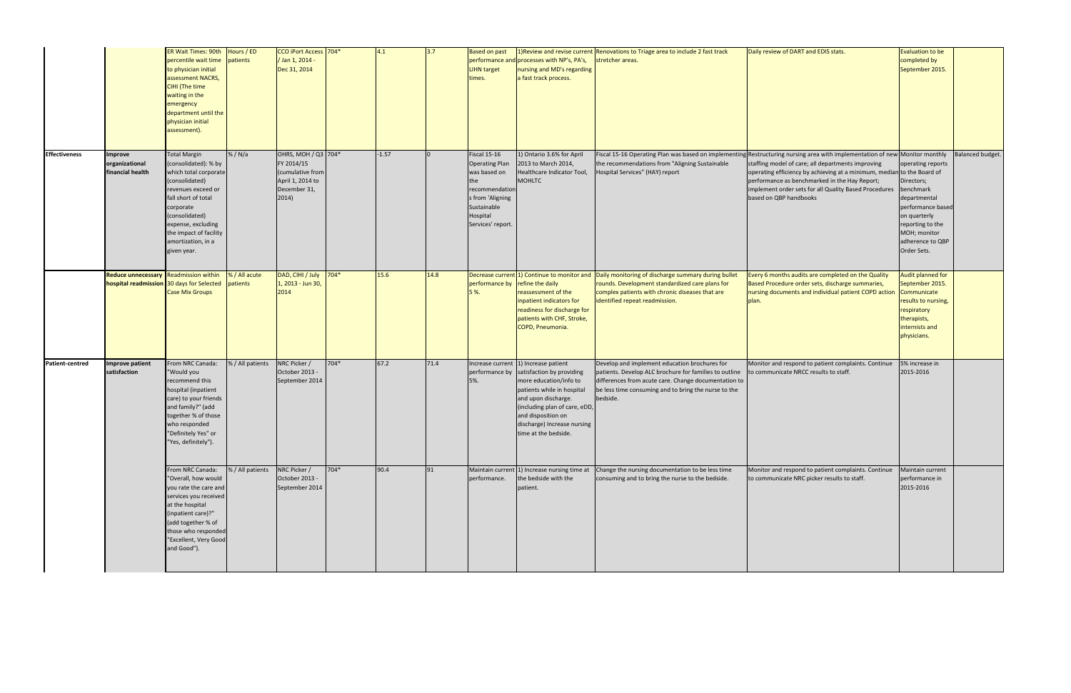|                      |                                                                                    | <b>ER Wait Times: 90th</b><br>percentile wait time<br>to physician initial<br>assessment NACRS,<br><b>CIHI</b> (The time<br>waiting in the<br>emergency<br>department until the<br>physician initial<br>assessment).                                    | Hours / ED<br>patients    | CCO iPort Access 704*<br>/ Jan 1, 2014 -<br>Dec 31, 2014                                           |        | 4.1     | 3.7  | <b>Based on past</b><br><b>LIHN target</b><br>times.                                                                                              | performance and processes with NP's, PA's,<br>nursing and MD's regarding<br>a fast track process.                                                                                                                                                                             | 1) Review and revise current Renovations to Triage area to include 2 fast track<br>stretcher areas.                                                                                                                                     | Daily review of DART and EDIS stats.                                                                                                                                                                                                                                                                                                                                                           | <b>Evaluation to be</b><br>completed by<br>September 2015.                                                                                                               |                         |
|----------------------|------------------------------------------------------------------------------------|---------------------------------------------------------------------------------------------------------------------------------------------------------------------------------------------------------------------------------------------------------|---------------------------|----------------------------------------------------------------------------------------------------|--------|---------|------|---------------------------------------------------------------------------------------------------------------------------------------------------|-------------------------------------------------------------------------------------------------------------------------------------------------------------------------------------------------------------------------------------------------------------------------------|-----------------------------------------------------------------------------------------------------------------------------------------------------------------------------------------------------------------------------------------|------------------------------------------------------------------------------------------------------------------------------------------------------------------------------------------------------------------------------------------------------------------------------------------------------------------------------------------------------------------------------------------------|--------------------------------------------------------------------------------------------------------------------------------------------------------------------------|-------------------------|
| <b>Effectiveness</b> | <b>Improve</b><br>organizational<br>financial health                               | <b>Total Margin</b><br>(consolidated): % by<br>which total corporate<br>(consolidated)<br>revenues exceed or<br>fall short of total<br>corporate<br>(consolidated)<br>expense, excluding<br>the impact of facility<br>amortization, in a<br>given year. | % / N/a                   | OHRS, MOH / Q3 704*<br>FY 2014/15<br>(cumulative from<br>April 1, 2014 to<br>December 31,<br>2014) |        | $-1.57$ |      | Fiscal 15-16<br><b>Operating Plan</b><br>was based on<br>the<br>recommendation<br>s from 'Aligning<br>Sustainable<br>Hospital<br>Services' report | 1) Ontario 3.6% for April<br>2013 to March 2014,<br>Healthcare Indicator Tool,<br><b>MOHLTC</b>                                                                                                                                                                               | the recommendations from "Aligning Sustainable<br>Hospital Services" (HAY) report                                                                                                                                                       | Fiscal 15-16 Operating Plan was based on implementing Restructuring nursing area with implementation of new Monitor monthly<br>staffing model of care; all departments improving<br>operating efficiency by achieving at a minimum, median to the Board of<br>performance as benchmarked in the Hay Report;<br>implement order sets for all Quality Based Procedures<br>based on QBP handbooks | operating reports<br>Directors;<br>benchmark<br>departmental<br>performance based<br>on quarterly<br>reporting to the<br>MOH; monitor<br>adherence to QBP<br>Order Sets. | <b>Balanced budget.</b> |
|                      | Reduce unnecessary Readmission within<br>hospital readmission 30 days for Selected | <b>Case Mix Groups</b>                                                                                                                                                                                                                                  | % / All acute<br>patients | DAD, CIHI / July<br>1, 2013 - Jun 30,<br>2014                                                      | $704*$ | 15.6    | 14.8 | performance by refine the daily<br>5%.                                                                                                            | reassessment of the<br>npatient indicators for<br>readiness for discharge for<br>patients with CHF, Stroke,<br>COPD, Pneumonia.                                                                                                                                               | Decrease current 1) Continue to monitor and Daily monitoring of discharge summary during bullet<br>rounds. Development standardized care plans for<br>complex patients with chronic diseases that are<br>identified repeat readmission. | Every 6 months audits are completed on the Quality<br>Based Procedure order sets, discharge summaries,<br>nursing documents and individual patient COPD action<br>plan                                                                                                                                                                                                                         | Audit planned for<br>September 2015.<br>Communicate<br>results to nursing,<br>respiratory<br>therapists,<br>internists and<br>physicians.                                |                         |
| Patient-centred      | <b>Improve patient</b><br>satisfaction                                             | From NRC Canada:<br>"Would you<br>recommend this<br>hospital (inpatient<br>care) to your friends<br>and family?" (add<br>together % of those<br>who responded<br>"Definitely Yes" or<br>"Yes, definitely").                                             | % / All patients          | NRC Picker /<br>October 2013 -<br>September 2014                                                   | 704*   | 67.2    | 71.4 | 5%.                                                                                                                                               | Increase current 1) Increase patient<br>performance by satisfaction by providing<br>more education/info to<br>patients while in hospital<br>and upon discharge.<br>(including plan of care, eDD,<br>and disposition on<br>discharge) Increase nursing<br>time at the bedside. | Develop and implement education brochures for<br>patients. Develop ALC brochure for families to outline<br>differences from acute care. Change documentation to<br>be less time consuming and to bring the nurse to the<br>bedside.     | Monitor and respond to patient complaints. Continue<br>to communicate NRCC results to staff.                                                                                                                                                                                                                                                                                                   | 5% increase in<br>2015-2016                                                                                                                                              |                         |
|                      |                                                                                    | From NRC Canada:<br>"Overall, how would<br>you rate the care and<br>services you received<br>at the hospital<br>(inpatient care)?"<br>(add together % of<br>those who responded<br>"Excellent, Very Good<br>and Good").                                 | % / All patients          | NRC Picker /<br>October 2013 -<br>September 2014                                                   | $704*$ | 90.4    | 91   | performance.                                                                                                                                      | the bedside with the<br>patient.                                                                                                                                                                                                                                              | Maintain current $\left  \right $ Increase nursing time at Change the nursing documentation to be less time<br>consuming and to bring the nurse to the bedside.                                                                         | Monitor and respond to patient complaints. Continue<br>to communicate NRC picker results to staff.                                                                                                                                                                                                                                                                                             | Maintain current<br>performance in<br>2015-2016                                                                                                                          |                         |